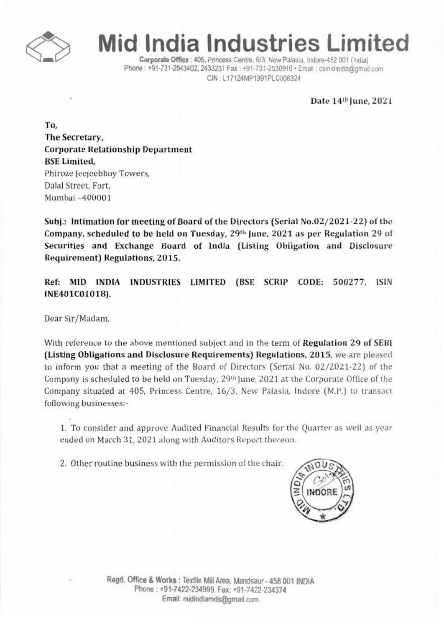

## **Mid India Industries Limited**

Corporate Office : 405. Princess Centre. 6/3. New Palasia. Indore-452 001 (India) Phone: +91-731-2543402. 2433231 Fax: +91-731-2530916 · Email: csmidindia@gmail.com CIN' L17124MPI991PLC006324

Date *14th* june. 2021

To. The Secretary. Corporate Relationship Department BSELimited. Phiroze Jeejeebhoy Towers. Dalal Street. Fort. Mumbai -400001

Sub}: Intimation for meeting of Board of the Directors (Serial No.02/2021·22) of the Company, scheduled to be held on Tuesday, 29<sup>th</sup> June, 2021 as per Regulation 29 of Securities and Exchange Board of India (Listing Obligation and Disclosure Requirement) Regulations. 2015.

Ref: MID INDIA INDUSTRIES LIMITED (BSE SCRIP CODE: 500277, ISIN INE401C01018).

Dear Sir/Madam.

With reference to the above mentioned *subject* and in the term of Regulation 29 of SEBI (Listing Obligations and Disclosure Requirements) Regulations, 2015. we are pleased to inform you that a meeting of the Board of Directors (Serial No. 02/2021·22) of the Company is scheduled to be held on Tuesday. 29th June. 2021 at the Corporate Office of the Company situated at 405. Princess Centre. 16/3. New Palasia. Indore (M.P.) to transact following businesses:-

1. To consider and approve Audited Financial Results for the Quarter as well as year ended on March 31. 2021 along with Auditors Report thereon.

2. Other routine business with the permission of the chair.